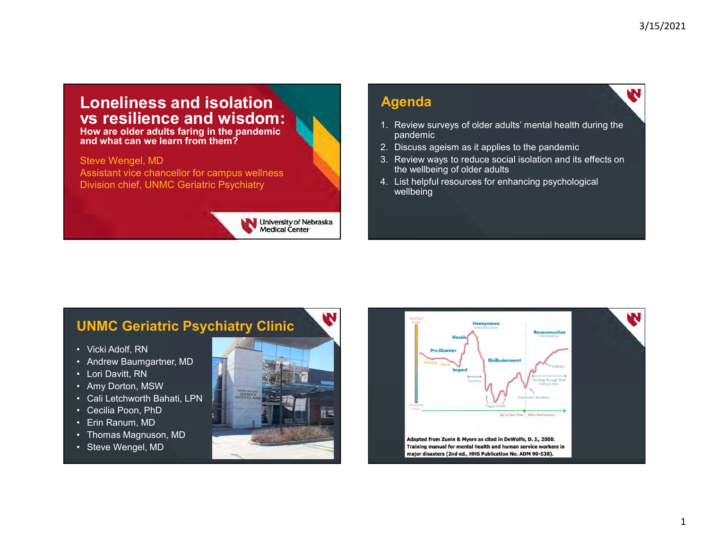#### Loneliness and isolation vs resilience and wisdom:

How are older adults faring in the pandemic and what can we learn from them?

Steve Wengel, MD Assistant vice chancellor for campus wellness<br>Division chief TINMC Geriatric Psychiatry<br>A. List helpful resources for enhancing psychological Division chief, UNMC Geriatric Psychiatry



#### Agenda

- 1. Review surveys of older adults' mental health during the<br>1. Review surveys of older adults' mental health during the<br>2. Discuss ageism as it applies to the pandemic<br>3. Review ways to reduce social isolation and its effe pandemic 3/15/2021<br>
2. Discuss ageism as it applies to the pandemic<br>
2. Discuss ageism as it applies to the pandemic<br>
2. Discuss ageism as it applies to the pandemic<br>
3. Review ways to reduce social isolation and its effects on<br>
th 3/15/2021<br> **Agenda**<br>
1. Review surveys of older adults' mental health during the<br>
pandemic<br>
2. Discuss ageism as it applies to the pandemic<br>
3. Review ways to reduce social isolation and its effects on<br>
the wellbeing of ol 3/15/2021<br> **Agenda**<br>
1. Review surveys of older adults' mental health during the<br>
pandemic<br>
2. Discuss ageism as it applies to the pandemic<br>
3. Review ways to reduce social isolation and its effects on<br>
the wellbeing of ol
- 
- the wellbeing of older adults
- wellbeing

#### UNMC Geriatric Psychiatry Clinic

- 
- 
- 
- 
- 
- 
- 
- 
- 



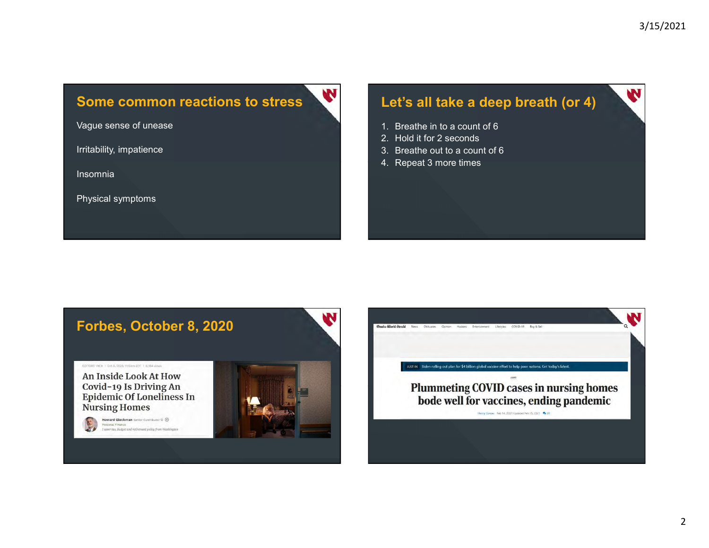#### Some common reactions to stress

Vague sense of unease

Irritability, impatience

Insomnia

Physical symptoms

## Let's all take a deep breath (or 4) 3/15/2021<br> **Let's all take a deep breath (or 4)**<br>
1. Breathe in to a count of 6<br>
2. Hold it for 2 seconds<br>
3. Breathe out to a count of 6<br>
4. Repeat 3 more times 3/15/2021<br> **Let's all take a deep breath (or 4)**<br>
1. Breathe in to a count of 6<br>
2. Hold it for 2 seconds<br>
3. Breathe out to a count of 6<br>
4. Repeat 3 more times 3/15/2021<br> **Let's all take a deep breath (or 4)**<br>
1. Breathe in to a count of 6<br>
2. Hold it for 2 seconds<br>
3. Breathe out to a count of 6<br>
4. Repeat 3 more times 3/15/2021<br> **Let's all take a deep breath (or 4)**<br>
1. Breathe in to a count of 6<br>
2. Hold it for 2 seconds<br>
3. Breathe out to a count of 6<br>
4. Repeat 3 more times

- 
- 
- 
- 

N

#### Forbes, October 8, 2020

EDITORS<sup>1</sup> PICK | Oct. B, 2020, 11:15am EDT | 6,304 Vews An Inside Look At How Covid-19 Is Driving An **Epidemic Of Loneliness In Nursing Homes** 



.<br>I cover tax, budget and retirement policy from Washington

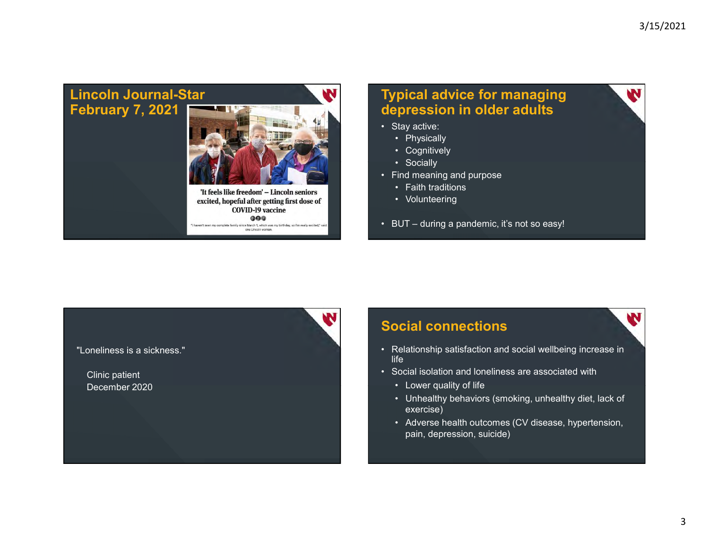#### Lincoln Journal-Star February 7, 2021



excited, hopeful after getting first dose of **COVID-19 vaccine**  $000$ I haven't seen my complete family since March 1, which was my birth<br>one Lincoln woman.

N

### Typical advice for managing depression in older adults **Typical advice for managing<br>
depression in older adults<br>
• Stay active:<br>
• Physically<br>
• Cognitively<br>
• Socially<br>
• Find meaning and purpose** 3/15/2021<br> **pical advice for managing<br>
epression in older adults**<br>
Stay active:<br>
• Physically<br>
• Cognitively<br>
• Socially<br>
• Socially<br>
• Faith traditions<br>
• Faith traditions <sup>3/15/2021</sup><br> **pical advice for managing<br>
Pression in older adults**<br>
Stay active:<br>
• Physically<br>
• Cognitively<br>
• Socially<br>
• Socially<br>
• Faith traditions<br>
• Volunteering **Bridge Strains and Strains and Strains and Strains and Strains and Strains and Strains and Strains and Strains and Strains and Strains and Strains and Strains and Strains and Strains and Strains and Strains and Strains an Typical advice for managing<br>
depression in older adults<br>
• Stay active:<br>
• Physically<br>
• Cognitively<br>
• Socially<br>
• Find meaning and purpose<br>
• Faith traditions<br>
• Volunteering<br>
• BUT – during a pandemic, it's not so easy** 3/15/2021<br> **pical advice for managing<br>
pression in older adults**<br>
Stay active:<br>
• Physically<br>
• Cognitively<br>
• Socially<br>
• Socially<br>
• Socially<br>
• Volunteering<br>
• Volunteering<br>
• Volunteering<br>
BUT – during a pandemic, it's 3/15/2021<br> **pical advice for managing<br>
epression in older adults<br>
Chaptailly<br>
Chaptailly<br>
Consility<br>
Consility<br>
Socially<br>
Socially<br>
Colunteering<br>
Video Party Socially<br>
Video Party<br>
Video Party Socially<br>
Video Party Sociall Fypical advice for managing<br>
depression in older adults<br>
• Stay active:<br>
• Physically<br>
• Cognitively<br>
• Socially<br>
• Find meaning and purpose<br>
• Faith traditions<br>
• Volunteering<br>
• BUT – during a pandemic, it's not so easy**

- -
	-
	-
- -
	-
- 

#### "Loneliness is a sickness."

Clinic patient December 2020

#### Social connections **Social connections**

- Stay active:<br>• Physically<br>• Socially<br>• Find meaning and purpose<br>• Faith traditions<br>• Volunteering<br>• BUT during a pandemic, it's not so easy!<br>• BUT during a pandemic, it's not so easy!<br>• Social CONNECTIONS<br>• Relations life and the contract of the contract of the contract of the contract of the contract of the contract of the c
- -
- Priscially<br>• Socially<br>• Socially<br>• Find meaning and purpose<br>• Volunteering<br>• Volunteering<br>• Social connections<br>• Relationship satisfaction and social wellbeing increase in<br>life<br>• Social isolation and loneliness are assoc • Columbrery<br>• Socially<br>ind meaning and purpose<br>• Faith traditions<br>• Volunteering<br>NUT – during a pandemic, it's not so easy!<br>• Mover during a pandemic, it's not so easy!<br>• Colid Connections<br>• Getaionship satisfaction and s • University of the main of the main of the main of the raint traditions<br>• Volunteering<br>• UUT – during a pandemic, it's not so easy!<br>• Mediationship satisfaction and social wellbeing increase in<br>• Motion and Interval<br>• Mot exercise) • Volunteering<br>• Volunteering<br>
• Volunteering<br>
• Adverse pandemic, it's not so easy!<br>
• Cincil connections<br>
• Adverse health of life<br>
• Lower quality of life<br>
• Cuhealthy behaviors (smoking, unhealthy diet, lack of<br>
• Cuhe
	- pain, depression, suicide)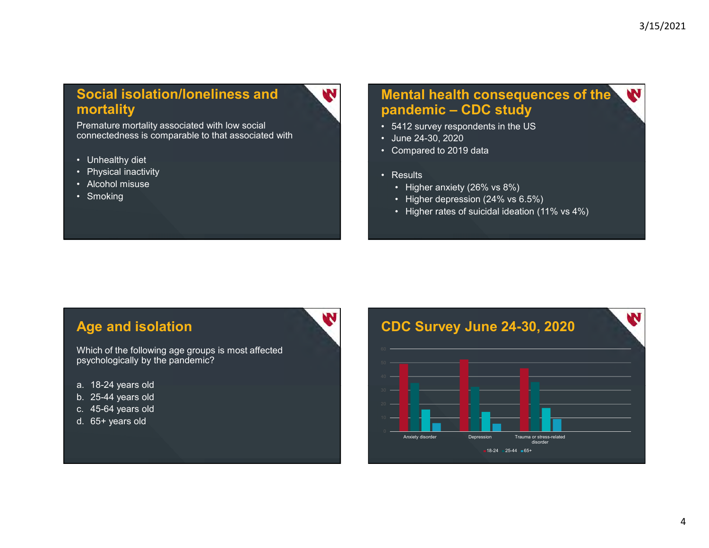### Social isolation/loneliness and mortality **Social isolation/loneliness and<br>
mortality**<br>
Premature mortality associated with low social<br>
connectedness is comparable to that associated with<br>
• Unhealthy diet<br>
• Physical inactivity<br>
• Alcohol misuse<br>
• Smoking **Social isolation/loneliness and<br>
mortality**<br>
Premature mortality associated with low social<br>
connectedness is comparable to that associated with<br>
• Unhealthy diet<br>
• Rhysical inactivity<br>
• Alcohol misuse<br>
• Smoking **Social isolation/loneliness and<br>
mortality**<br>
Premature mortality associated with low social<br>
connectedness is comparable to that associated with<br>
• Unhealthy diet<br>
• Physical inactivity<br>
• Alcohol misuse<br>
• Smoking Social isolation/loneliness and<br>
mortality<br>
Premature mortality associated with low social<br>
connectedness is comparable to that associated with<br>
• Unhealthy diet<br>
• Physical inactivity<br>
• Alcohol misuse<br>
• Smoking

Premature mortality associated with low social connectedness is comparable to that associated with **CONF 1000 CONF 10000 CONF 10000 CONF** 1000 CONF 1000 CONF 1000

- 
- 
- 
- 

### Mental health consequences of the 3/15/2021<br> **Mental health consequences of the<br>
pandemic – CDC study<br>
· 5412 survey respondents in the US<br>
· June 24-30, 2020<br>
· Compared to 2019 data SALUTE 1999 SEARCH SEARCH SEARCH SEARCH SEARCH SEARCH SEARCH SEARCH SEARCH SEARCH SEARCH SURVEY CONTROLL CONTROLL CONTROLL CONTROLL CONTROLL CONTROLL CONTROLL CONTROLL CONTROLL CONTROLL CONTROLL CONTROLL CONTROLL CONTROLL Mental health consequences of the<br>
pandemic - CDC study<br>
• 5412 survey respondents in the US<br>
• June 24-30, 2020<br>
• Compared to 2019 data<br>
• Results<br>
• Higher anxiety (26% vs 8%) Mental health consequences of the<br>
pandemic - CDC study<br>
• 5412 survey respondents in the US<br>
• June 24-30, 2020<br>
• Compared to 2019 data<br>
• Results<br>
• Higher anxiety (26% vs 8%)<br>
• Higher depression (24% vs 6.5%) Santana Stranghtana Stranghtana Stranghtana Stranghtana Stranghtana Stranghtana Stranghtana Stranghtana Stranghtana Stranghtana Stranghtana Stranghtana Stranghtana Stranghtana Stranghtana Stranghtana Stranghtana Stranghta Band Solution Section Section Sequences of the Section Sequences of the Section Sequences of the Section Section Section Section Section Section Section Section Section Section Section Section Section Section Section Sec and the solution of the set of the set of the indemic – CDC study**<br>
412 survey respondents in the US<br>
412 survey respondents in the US<br>
Compared to 2019 data<br>
Results<br>
• Higher anxiety (26% vs 8%)<br>
• Higher depression (2 **and the sum of the sum of the sum of the sum of the consequences of the M412 survey respondents in the US**<br>
412 survey respondents in the US<br>
Nune 24-30, 2020<br>
Compared to 2019 data<br>
Results<br>
• Higher anxiety (26% vs 8%)

- 
- 
- 
- -
	-
	-

#### Age and isolation

Which of the following age groups is most affected psychologically by the pandemic?

- 
- 
- 
- 

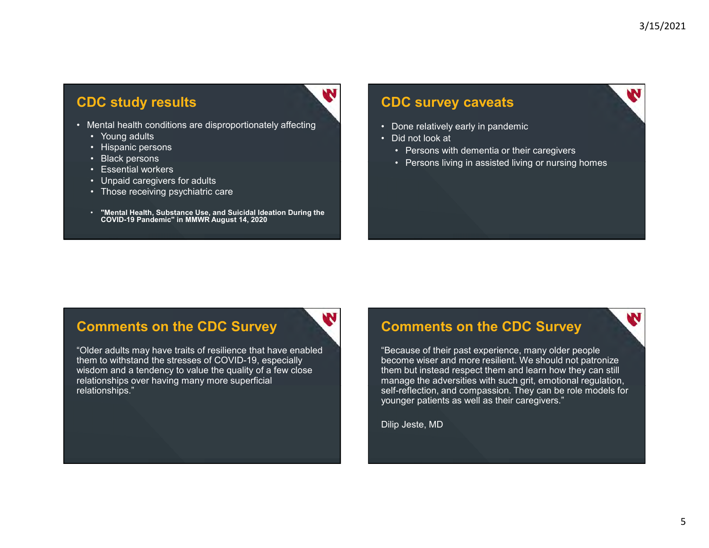#### **CDC study results**

- **CDC study results**<br>
 Mental health conditions are disproportionately affecting<br>
 Young adults<br>
 Hispanic persons<br>
 Black persons<br>
 Black persons with der<br>
 Persons living in<br>
 Persons living in<br>
 Persons living in **Constant of Study results**<br> **Constant and the constant of Study results**<br>
• Young adults<br>
• Hispanic persons<br>
• Black persons<br>
• Unpaid caregivers for adults<br>
• Those receiving osvchiatric care **Constant of South School Section**<br> **Constant and Section**<br>
• Young adults<br>
• Hispanic persons<br>
• Black persons<br>
• Essential workers<br>
• Unpaid caregivers for adults<br>
• Those receiving psychiatric care
	-
	-
	-
	-
	-
	-
	- Contract persons<br>
	 Hispanic persons<br>
	 Young adults<br>
	 Young adults<br>
	 Hispanic persons<br>
	 Black persons<br>
	 Sesential workers<br>
	 Unpaid caregivers for adults<br>
	 Those receiving psychiatric care<br>
	 "Mental Health, Substan **CC Study results<br>
	CC Study results<br>
	• Young adults<br>
	• Hispanic persons<br>
	• Black persons<br>
	• Black persons<br>
	• Essential workers<br>
	• Unpaid caregivers for adults<br>
	• Those receiving psychiatric care<br>
	• "Mental Health, Substanc Community of Study results**<br> **Community and Community and Community and Community of Study results**<br>
	• Young adults<br>
	• Hispanic persons<br>
	• Escertial workers<br>
	• Unpaid caregivers for adults<br>
	• Those receiving psychiatric c **Control Control Control Control Control Control Control Control Control Control Control Control Control Control Control Control Control Control Control Control Control Control Control Control Control Control Control Contr** • "Mental Health, Substance Use, and Suicidal Ideation During the COVID-19 Pandemic" in MMWR August 14, 2020

#### CDC survey caveats

- 
- -
- 3/15/2021<br>
CDC survey caveats<br>
 Done relatively early in pandemic<br>
 Did not look at<br>
 Persons with dementia or their caregivers<br>
 Persons living in assisted living or nursing homes 3/15/2021<br>
CDC survey caveats<br>
• Done relatively early in pandemic<br>
• Did not look at<br>
• Persons with dementia or their caregivers<br>
• Persons living in assisted living or nursing homes <sup>3/15/2021</sup><br> **• Persons with dementia or their caregivers**<br>
• Persons with dementia or their caregivers<br>
• Persons living in assisted living or nursing homes <sup>3/15/2021</sup><br>• Persons living in pandemic<br>• Persons with dementia or their caregivers<br>• Persons living in assisted living or nursing homes<br>• Persons living in assisted living or nursing homes

#### Comments on the CDC Survey

"Older adults may have traits of resilience that have enabled them to withstand the stresses of COVID-19, especially wisdom and a tendency to value the quality of a few close relationships over having many more superficial relationships."

#### Comments on the CDC Survey

"Because of their past experience, many older people become wiser and more resilient. We should not patronize them but instead respect them and learn how they can still manage the adversities with such grit, emotional regulation, self-reflection, and compassion. They can be role models for younger patients as well as their caregivers." **Comments on the CDC Survey**<br>
Tecause of their past experience, many older people<br>
become wiser and more resilient. We should not patronize<br>
them but instead respect them and learn how they can still<br>
manage the adversitie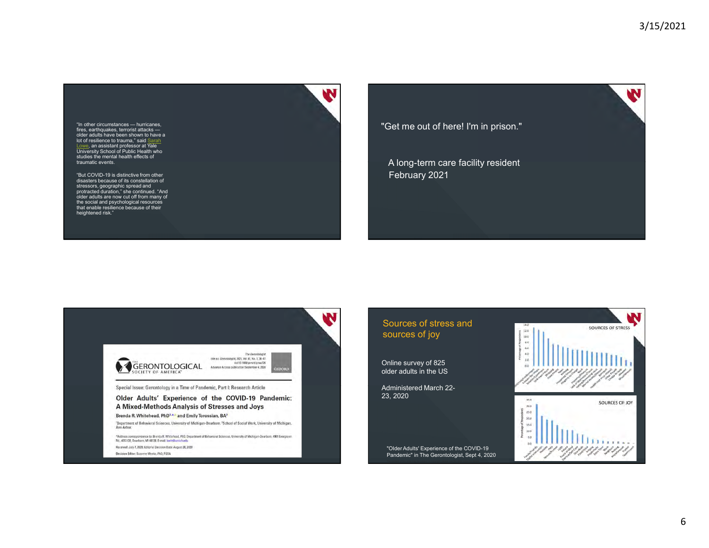W

"In other circumstances — hurricanes,<br>fires, earthquakes, terrorist attacks older adults have been shown to have a<br>lot of resilience to trauma," said Sarah Lowe, an assistant professor at Yale<br>University School of Public Health who studies the mental health effects of traumatic events.

"But COVID-19 is distinctive from other<br>disasters because of its constellation of<br>stressors, geographic spread and<br>protracted duration," she continued. "And older adults are now cut off from many of the social and psychological resources<br>that enable resilience because of their<br>heightened risk."



"Get me out of here! I'm in prison."

A long-term care facility resident February 2021



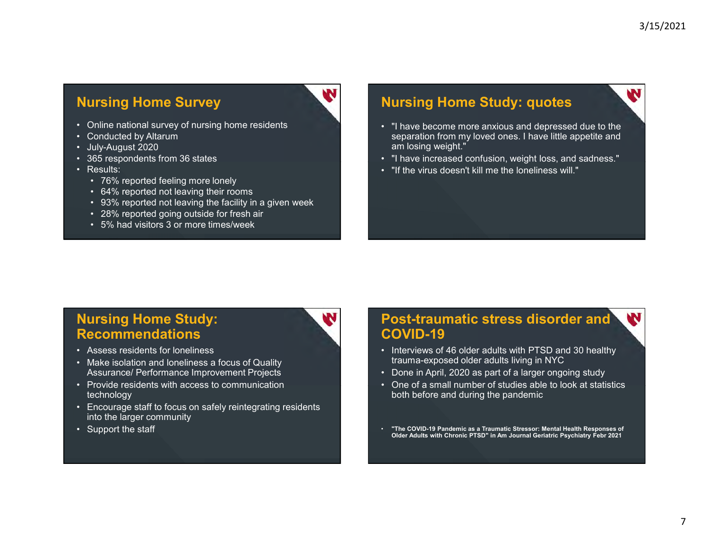## **Nursing Home Survey And Allen Control Control Control Control Control Control Control Control Control Control Control Control Control Control Control Control Control Control Control Control Control Control Control Control Participal Survey**<br>
• Online national survey of nursing home residents<br>
• Conducted by Altarum<br>
• July-August 2020<br>
• 365 respondents from 36 states<br>
• Results:<br>
• Thave in Conducted feeling more lonely<br>
• The virus in Co **Nursing Home Survey**<br>
• Online national survey of nursing home residents<br>
• Conducted by Altarum<br>
• July-August 2020<br>
• 365 respondents from 36 states<br>
• Results:<br>
• 64% reported feeling more lonely<br>
• 64% reported not l **Nursing Home Survey<br>
• Online national survey of nursing home residents<br>
• Conducted by Altarum<br>
• July-August 2020<br>
• 365 respondents from 36 states<br>
• Results:<br>
• 76% reported not leaving their rooms<br>
• 93% reported not Nursing Home Survey<br>
• Online national survey of nursing home residents<br>
• Conducted by Altarum<br>
• July-August 2020<br>
• 365 respondents from 36 states<br>
• Results:<br>
• 76% reported feeling more lonely<br>
• 93% reported not lea Nursing Home Survey**<br>
• Online national survey of nursing home residents<br>
• Conducted by Altarum<br>
• July-August 2020<br>
• 365 respondents from 36 states<br>
• Results:<br>
• 76% reported feeling more lonely<br>
• 64% reported not l

- 
- 
- 
- 
- -
	-
- **Figure 11 The Survey of Survey School School School School School School School School School School School School School School School School School School School School School School School School School School School S Fig. 10 Form of Survey**<br>
Sonducted by Altarum<br>
Conducted by Altarum<br>
in Conducted by Altarum<br>
in Conducted by Altarum<br>
165 respondents from 36 states<br>
Results:<br>
• 64% reported not leaving the facility in a given week<br>
• 9 **Example 18 reports of the Survey**<br> **Poiline rational survey of nursing home residents**<br>
20 conducted by Altarum<br>
1997–August 2020<br>
1865 respondents from 36 states<br>
• 76% reported feeling more lonely<br>
• 64% reported not le **Figure 11 of the Survey**<br>
Conducted by Altarum<br>
Conducted by Altarum<br>
Conducted by Altarum<br>
uly-August 2020<br>
Sespondents from 36 states<br>
esuits:<br>
• 3% reported not leaving ther rooms<br>
• 3% reported on teaving the facility
	-
	-

#### Nursing Home Study: quotes

- **Figure 11 and Survey**<br> **Solution Survey**<br>
Sonducted by Altarum<br>
Sonducted by Altarum<br>
Song the facility in a given week<br>
Results:<br>
Conducted feeling more lonely<br>
Considers and of states<br>
Considers and Survey of the facili <sup>3/15/2021</sup><br>• "I have become more anxious and depressed due to the<br>• separation from my loved ones. I have little appetite and<br>• Thave increased confusion, weight loss, and sadness."<br>• Tif the virus doesn't kill me the lon separation from my loved ones. I have little appetite and am losing weight." <sup>3/15/2021</sup><br>• "I have become more anxious and depressed due to the<br>• separation from my loved ones. I have little appetite and<br>• m losing weight."<br>• Thave increased confusion, weight loss, and sadness."<br>• "If the virus doe **Paramellant Study: quotes**<br>• "I have become more anxious and depressed due to the<br>• separation from my loved ones. I have little appetite and<br>• m losing weight."<br>• "If the virus doesn't kill me the loneliness will."<br>• The
	-
	-

#### Nursing Home Study: Recommendations

- 
- Assurance/ Performance Improvement Projects **Accord Constructed Constructs Accord Performance Improvement Projects Constructed View Projects Constructed View Projects Constructed View Projects Constructed View Pr**
- Chalucted by Altarum<br>• July-August 2020<br>• July-August 2020<br>• 365 respondents from 36 states<br>• Results:<br>• 76% reported feeling more lonely<br>• 64% reported not leaving their rooms<br>• 93% reported not leaving the facility in technology
- Conducted by Altarum<br>• July-August 2020<br>• 365 respondents from 36 states<br>• Results:<br>• 76% reported not leaving their rooms<br>• 93% reported not leaving the facility in a given week<br>• 28% reported and loneling the facility • 365 respondents from 36 states<br>• Results:<br>• 76% reported feeling more lonely<br>• 76% reported not leaving their rooms<br>• 93% reported going outside for fresh air<br>• 28% reported going outside for fresh air<br>• 5% had visitors • T6% reported feeling more lonely<br>• 64% reported not leaving the facility in a given week<br>• 93% reported on leaving the facility in a given week<br>• 28% reported going outside for fresh air<br>• 5% had visitors 3 or more times into the larger community • 93% reported not leaving the facility in a given week<br>• 28% reported going outside for fresh air<br>• 5% had visitors 3 or more times/week<br>• 5% had visitors 3 or more times/week<br>• SS had visitors 3 or more times/week<br>• Asse
- 

## Post-traumatic stress disorder and COVID-19 • "I have become more anxious and depressed due to the<br>separation from my loved ones. I have little appetite and<br>am losing weight."<br>• Thave increased confusion, weight loss, and sadness."<br>• "If the virus doesn't kill me th e paradomination, weight the state of a larger ongoing weight."<br>
• "If the virus doesn't kill me the loneliness will."<br>
• "If the virus doesn't kill me the loneliness will."<br>
• Interviews of 46 older adults with PTSD and • "If the virus doesn't kill me the loneliness will."<br>• "If the virus doesn't kill me the loneliness will."<br>• The virus doesn't kill me the loneliness will."<br>• COVID-19<br>• Interviews of 46 older adults with PTSD and 30 heal

- trauma-exposed older adults living in NYC
- 
- both before and during the pandemic
- "The COVID-19 Pandemic as a Traumatic Stressor: Mental Health Responses of Older Adults with Chronic PTSD" in Am Journal Geriatric Psychiatry Febr 2021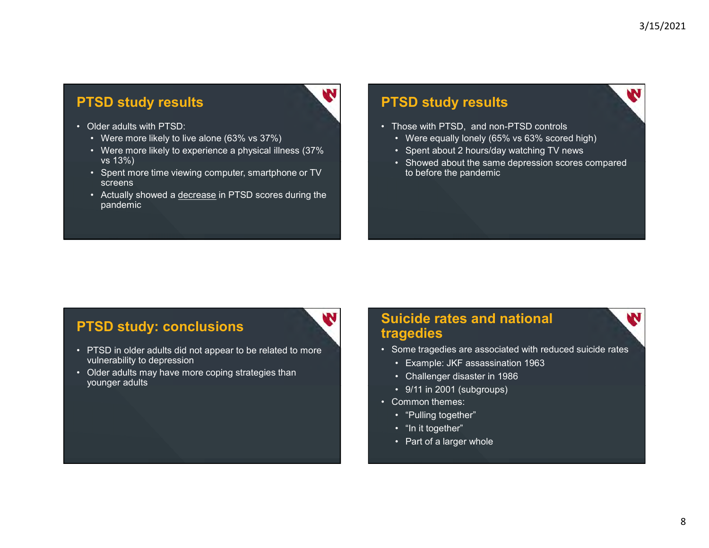#### PTSD study results

- -
- **PTSD study results<br>
 Older adults with PTSD:<br>
 Were more likely to live alone (63% vs 37%)<br>
 Were more likely to experience a physical illness (37%<br>
 Spent more time viewing computer, smartphone or TV<br>
screens FSD study results**<br>
Dider adults with PTSD:<br>
• Were more likely to live alone (63% vs 37%)<br>
• Were more likely to experience a physical illness (37%<br>
• Spent more time viewing computer, smartphone or TV<br>
• Screens<br>
• Actu **FSD study results**<br>
Dider adults with PTSD:<br>
• Were more likely to live alone (63% vs 37%)<br>
• Were more likely to experience a physical illness (37%<br>
• Spent more time viewing computer, smartphone or TV<br>
• Actually showed vs 13%)
	- screens
	- **FSD study results**<br>
	Dider adults with PTSD:<br>
	 Were more likely to live alone (63% vs 37%)<br>
	 Were more likely to experience a physical illness (37%<br>
	 Spent more time viewing computer, smartphone or TV<br>
	screens<br>
	 Actual **FISD study results**<br>
	Uder adults with PTSD:<br>
	• Were more likely to live alone (63% vs 37%)<br>
	• Were more likely to experience a physical illness (37%)<br>
	• Spent about 2 hours/day vs 13%)<br>
	• Spent and cours/day<br>
	• Spent more pandemic

#### PTSD study results

- -
	-
- <sup>3/15/2021</sup><br> **PTSD study results**<br>
 Those with PTSD, and non-PTSD controls<br>
 Were equally lonely (65% vs 63% scored high)<br>
 Spent about 2 hours/day watching TV news<br>
 Showed about the same depression scores compared<br>
t <sup>3</sup>/15/2021<br> **• SD study results**<br>
• Those with PTSD, and non-PTSD controls<br>
• Were equally lonely (65% vs 63% scored high)<br>
• Spent about 2 hours/day watching TV news<br>
• Showed about the same depression scores compared<br>
t <sup>3</sup>/15/2021<br> **• Spent about 2 hours/day watching TV news**<br>
• Spent about 2 hours/day watching TV news<br>
• Showed about the same depression scores compared<br>
to before the pandemic<br>
• Showed about the same depression scores c <sup>3/15/2021</sup><br> **SD study results**<br>
Those with PTSD, and non-PTSD controls<br>
• Were equally lonely (65% vs 63% scored high)<br>
• Spent about 2 hours/day watching TV news<br>
• Showed about the same depression scores compared<br>
to be to before the pandemic • Were equally lonely (65% vs 63% scored high)<br>• Spent about 2 hours/day watching TV news<br>• Showed about the same depression scores compared<br>to before the pandemic<br>to before the pandemic<br>streamed to before the pandemic<br>**ar** • Spent about 2 hours/day watching TV news<br>• Showed about the same depression scores compared<br>to before the pandemic<br>to before the pandemic<br>**allenger disaster in 1986**<br>• Challenger disaster in 1986<br>• 9/11 in 2001 (subgroup • Showed about the same depression scores compared<br>to before the pandemic<br>agedies<br>of the paradises are associated with reduced suicide rates<br>of the transpelies are associated with reduced suicide rates<br>• Example: JKF assas

#### PTSD study: conclusions

- Older adults with PTSD:<br>• Were more likely to live alone (63% vs 37%)<br>• Were more likely to experience a physical illness (37%<br>• vs 13%)<br>• Spent more time viewing computer, smartphone or TV<br>• Cotar more comore and decrea vulnerability to depression • Were more likely to twe adulte (to averagne a physical illness (37% vs 13%)<br>• Spent more time viewing computer, smartphone or TV<br>screens<br>• Actually showed a <u>decrease</u> in PTSD scores during the<br>pandemic<br>• Actually showed
- younger adults

### Suicide rates and national tragedies • Those with PTSD, and non-PTSD controls<br>• Were equally lonely (65% vs 63% scored high)<br>• Sphowed about 2 hours/day watching TV news<br>• Showed about the same depression scores compared<br>to before the pandemic<br>to before the p to before the pandemic<br>
Suicide rates and national<br>
tragedies<br>
• Some tragedies are associated with reduced suicide rates<br>
• Example: JKF assassination 1963<br>
• Challenger disaster in 1986<br>
• 9/11 in 2001 (subgroups)<br>
• Co **and the set of the set of the set of the set of the set of the set of the set of the set of the set of the set of the set of the set of the set of the set of the set of the set of the set of the set of the set of the set and Server Control Control Control Control Control Control Control Control Control Control Control Control Control Control Control Control Control Control Control Control Control Control Control Control Control Control Co and the control of a larger whole and the control of a larger scheme tragedies**<br>• Example: JKF assassination 1963<br>• Challenger disaster in 1986<br>• 9/11 in 2001 (subgroups)<br>• "Pulling together"<br>• "In it together"<br>• That of

- -
	-
	-
- -
	-
	-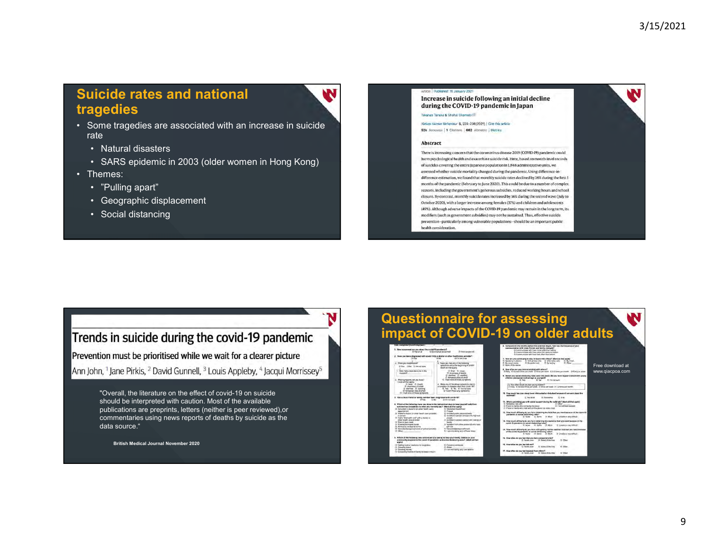w

#### Suicide rates and national tragedies

- **Suicide rates and national<br>
tragedies**<br>
 Some tragedies are associated with an increase in suicide<br>
 Natural disasters<br>
 SARS epidemic in 2003 (older women in Hong Kong)<br>
 Themes: rate and the contract of the contract of the contract of the contract of the contract of the contract of the c **Access of the Second Second Second Second Second Second Second Second Second Second Second Second Second Second<br>Francescondisasters<br>• Natural disasters<br>• SARS epidemic in 2003 (older women in Hong Kong)<br>Themes:<br>• "Pulling Fiction Control Control Control Control Control Control Control Control Control Control Control Control Control Control Control Chemeters (Control Chemeters)<br>
Face SARS epidemic in 2003 (older women in Hong Kong)<br>
Themes:** Suicide rates and national<br>
tragedies<br>
• Some tragedies are associated with an increase in suicide<br>
• Natural disasters<br>
• SARS epidemic in 2003 (older women in Hong Kong)<br>
• Themes:<br>
• "Pulling apart"<br>
• Geographic displa **Example 18 and analytical Sydney School Sydney School Sydney School Sydney School Sydney Conservant Conservant Conservant Conservant Conservant Conservant Conservant Conservant Conservant Conservant Conservant Conservant incide rates and national<br>
Some tragedies<br>
Some tragedies are associated with an increase in suicide<br>
• Natural disasters<br>
• SARS epidemic in 2003 (older women in Hong Kong)<br>
Themes:<br>
• "Pulling apart"<br>
• Geographic displ icide rates and national<br>
agedies**<br>
Some tragedies are associated with an increase in suicide<br>
1 Natural disasters<br>
• SARS epidemic in 2003 (older women in Hong Kong)<br>
Themes:<br>
• Tending apart"<br>
• Geographic displacement<br>
	-
	-
- -
	-
	-

#### Article Published: 15 January 2021 Increase in suicide following an initial decline during the COVID-19 pandemic in Japan

#### Takanab Tanaka & Shohel Okamoto

Nature Human Behaviour 5, 229-238(2021) | Cite this article 52k Accesses | 1 Citations | 662 Altmetric | Metrics

#### **Abstract**

1. How on

There is increasing concern that the coronavirus disease 2019 (COVID-19) pandemic could harm psychological health and exacerbate suicide risk. Here, based on month-level records of suicides covering the entire lapanese population in 1.848 administrative units, we assessed whether suicide mortality changed during the pandemic. Using difference-indifference estimation, we found that monthly suicide rates declined by 14% during the first 5 months of the pandemic (February to June 2020). This could be due to a number of complex reasons, including the government's generous subsidies, reduced working hours and school closure. By contrast, monthly suicide rates increased by 16% during the second wave (July to October 2020), with a larger increase among females (37%) and children and adolescents (49%). Although adverse impacts of the COVID-19 pandemic may remain in the long term, its modifiers (such as government subsidies) may not be sustained. Thus, effective suicide prevention-particularly among vulnerable populations-should be an important public health consideration.

#### Trends in suicide during the covid-19 pandemic

Prevention must be prioritised while we wait for a clearer picture

Ann John, <sup>1</sup> Jane Pirkis, <sup>2</sup> David Gunnell, <sup>3</sup> Louis Appleby, <sup>4</sup> Jacqui Morrissey<sup>5</sup>

"Overall, the literature on the effect of covid-19 on suicide should be interpreted with caution. Most of the available publications are preprints, letters (neither is peer reviewed),or commentaries using news reports of deaths by suicide as the data source."

British Medical Journal November 2020

#### Questionnaire for assessing impact of COVID-19

| 2. How you been disgrassed with covid-19 by a doctor or other health cars provider?                                                                                                                                                                                                                                                                                                                                                                                                                                                                                                                                                                                                                                                                                                                                                                                                                                                                                                                                                              | C: I communicate with them less affect than betone                                                                                                                                                                                                                                                                                                                                                                                                                                                                                                                                                                                                                                                                                                                                                                                                                                                                                                                                             |
|--------------------------------------------------------------------------------------------------------------------------------------------------------------------------------------------------------------------------------------------------------------------------------------------------------------------------------------------------------------------------------------------------------------------------------------------------------------------------------------------------------------------------------------------------------------------------------------------------------------------------------------------------------------------------------------------------------------------------------------------------------------------------------------------------------------------------------------------------------------------------------------------------------------------------------------------------------------------------------------------------------------------------------------------------|------------------------------------------------------------------------------------------------------------------------------------------------------------------------------------------------------------------------------------------------------------------------------------------------------------------------------------------------------------------------------------------------------------------------------------------------------------------------------------------------------------------------------------------------------------------------------------------------------------------------------------------------------------------------------------------------------------------------------------------------------------------------------------------------------------------------------------------------------------------------------------------------------------------------------------------------------------------------------------------------|
| D Yes<br>O No.<br>O Feb net scuss<br>c. Neve you had any if the hittering<br>A. Write you hospitalize?<br>symptoms arece the beginning of 2020?<br>O'Yes (3No. O'thing size)<br>(Mark all that apply)<br>O' fever. C. cought<br>1. Please manly classes were side in the<br><b>Noskaton?</b><br>O' shortness of breath<br>C darrive C vonting<br>C remograny loss of smell<br>O. Thad rend of these synglects<br>0. West-formations cld you have?<br>mone all has apply.<br>O fewer O coupri<br>d. Were any of the idove sumploms due to<br>a condition or disease other than coast-197<br>IT shorthand of health<br>O'Yea O No. O Encrot sure<br>Q diarriver. O vomiting<br>O temporary loss of smell<br>O' I didn't have any symploms                                                                                                                                                                                                                                                                                                          | 7. Now are you continuing to stay in touch with others? (Slark at that spots)<br>O. Speaking in person<br>O With pricing calls<br>O With video com-<br>O By timel<br>O fly-scool-reader<br>O By postal reals<br>D. Other<br>O Sylectric<br>D. None of the street<br>5. How often are you communicating with others?<br>O Daily O Savetal Strey per week O Once bet week O 1-2 kmw per month O R.<br>9. Before any social distancing raise went into plate. did you have requier conta-<br>children (olementary school age or younger)?<br>O THE<br>O No:<br>O Finited such<br>a. How often would into bein young children?<br>O'Delly O'Several firmes por week. O Orios say youre D 1-2 letters per month.                                                                                                                                                                                                                                                                                    |
| CI 154d rame of these syntologies.<br>1. Has a cluse friend or family member been disgnosed with covid-197<br>O No<br>O t'ye not sure<br><b>Ci View</b><br>8. Which of the following have you done in the last several days to keep yourself safe from<br>soronavirus (in addition to what you normally do!? (Mark all that apply)<br>D. Stockholm food Writer<br>O. Cancelled a doctor's lot other health care).<br>O. Preved<br><b>MODUM ATTNENT</b><br>(2) Visited a doctor for other health care provider)<br>O Avoided public places/crowing<br>O Avoided in genutri consult with High min.<br>in person<br>O. Had a "telehealth sind" with a disclor of<br>percial<br>other health case provider.<br>D. Avoided in optimal contact with method or<br>Cl. Wom A Root mask<br>O Washed/Santized funds<br>O liabilities from other perspecial who lower<br>D. Werked or Mudled at home<br>with your<br>O. Cannoned controversi Vascol<br>D. Dancelled hosterwort work or rehosterwisers<br>O Other.<br>O I are not taking any of these sizes: | 10. How much has your alseo been interrupted or disturbed because of concern<br>outbreak?<br>D. Aire<br>(3 Not at all<br>O. Somewhat<br>11. Who is providing you with social support during the outbreak? (Mark all that<br>O : Romerano I We with<br>O Ohen<br>O. I do not have support<br>O Traind to family who comes by my place<br>O iPrend or territy who I talk with on the athony (or sideo chat)<br>12. Now much difficulty do you have obtaining the food lifet you need because o<br>Dendersio or social distancing rules?<br>O Marti<br>Of Unable or para-refer<br>O Note<br>O Some<br>13. How much difficulty do you have obtaining the medicine that you need becau<br>covid-15 pendemic or social distancing rules?<br>IT NAME: IT STONE IT MADE<br>D' Unapel or yery old<br>14. How much difficulty do you have with gatting routine medical care that you to<br>of the covid-15 cendernic or social distancing rules?<br>Of Unable or year still<br>O Samu<br>O News<br>O'Mum |
| 3. Which of the following new actions are you taking to help your lamily, friends or your<br>community response to the count-19 pandemic and social distancing rules? (Nark all the<br>apply).<br>O' Getting load or medicine for renalidors.<br>O. Provising philosyne.                                                                                                                                                                                                                                                                                                                                                                                                                                                                                                                                                                                                                                                                                                                                                                         | 15. How often do you looi that you lack companionship?<br>C Hondy wyer<br>O Science of this times<br>O Dhe<br>16. Hour offinn do you feel feft put?<br>0.00<br>O. Some of the time<br>O. Hardly wyer                                                                                                                                                                                                                                                                                                                                                                                                                                                                                                                                                                                                                                                                                                                                                                                           |
| O Other:<br>O. Grouping tripped<br>Did am not taking any new aptitios.<br>O. Donating money<br>O. Contacting huange as family hydeses in tracti-                                                                                                                                                                                                                                                                                                                                                                                                                                                                                                                                                                                                                                                                                                                                                                                                                                                                                                 | F7. Hew others do you had lapitated from others?<br>D. Hindly eyer<br>Ca. Simmun of thus stress<br><b>G Dhin</b>                                                                                                                                                                                                                                                                                                                                                                                                                                                                                                                                                                                                                                                                                                                                                                                                                                                                               |

| on older adults<br>he months before the outpreak began. Now has the bequency of your<br>(because of med box styres) each rates<br>meturalcula with them m/via offers than rabbox<br>elimprocess with them spoul the same as before<br>www.unicode.with thurst lead, affairs than bestore |                  |  |
|------------------------------------------------------------------------------------------------------------------------------------------------------------------------------------------------------------------------------------------------------------------------------------------|------------------|--|
| Wingsto to stay in touch with others? (Slark at that apply)<br>O With prices calls O With Video calls<br>O By trimal.<br>O. By postal really<br>O Sylectric<br>D. Other                                                                                                                  |                  |  |
|                                                                                                                                                                                                                                                                                          | Free download at |  |
| you communicating with others?<br>il Sitvey per week 0 Once per week 0 1-2 fettes per month 0 RSH/y or never                                                                                                                                                                             | www.qiacpoa.com  |  |
| lal distancing railes went into place, did you have requier contact with young<br>ritary school age or younger!?<br>'O'Yes<br>O No:<br>O Thirdd lack<br>Finalistic physics idea unter Bluoren<br>Several times por week. O Once per yours D 12 limins per month.                         |                  |  |
|                                                                                                                                                                                                                                                                                          |                  |  |
| a your alsep been intersched or disturbed because of concern about the                                                                                                                                                                                                                   |                  |  |
| (2) Not all all<br>O Scrumble<br>0.40                                                                                                                                                                                                                                                    |                  |  |
| Inform faith and its Wanter off company through the control and use poli-<br>O Other<br>win<br>Ci. I do not have support<br>who comes by my place<br>Who I talk with on the difforer (di aldieo chat)                                                                                    |                  |  |
| ficulty do you have obtaining the food lhat you need because of the covid-15                                                                                                                                                                                                             |                  |  |
| ocial distancing rules?<br>O Note<br>O Marti<br>Of Unable or very difficult<br>O Some                                                                                                                                                                                                    |                  |  |
| ficulty do you have obtaining the medicine that you need because of the                                                                                                                                                                                                                  |                  |  |
| mic or social distancing rules?<br>D Same<br>D' UNIDA Crivery difficult<br>D. None<br><b>COLLEGE</b>                                                                                                                                                                                     |                  |  |
| finally do you have with getting routine medical care that you need become                                                                                                                                                                                                               |                  |  |
| cendentic or social distancing rules?<br>O News<br>O Samu O Mum<br>Of Unable or very silificult:                                                                                                                                                                                         |                  |  |
| you feel that you lack companionship?                                                                                                                                                                                                                                                    |                  |  |
| C: Neighe of this firms<br>O Dher<br>D. Hardly wow:                                                                                                                                                                                                                                      |                  |  |
| you feel left out?<br>0.05 <sub>m</sub><br>O. Some of the time<br>O. Hardly wyer                                                                                                                                                                                                         |                  |  |
| <b>Texation month batalogi less sover</b><br>D. Hindly eyes<br>O Sono of the time<br><b>G Dhan</b>                                                                                                                                                                                       |                  |  |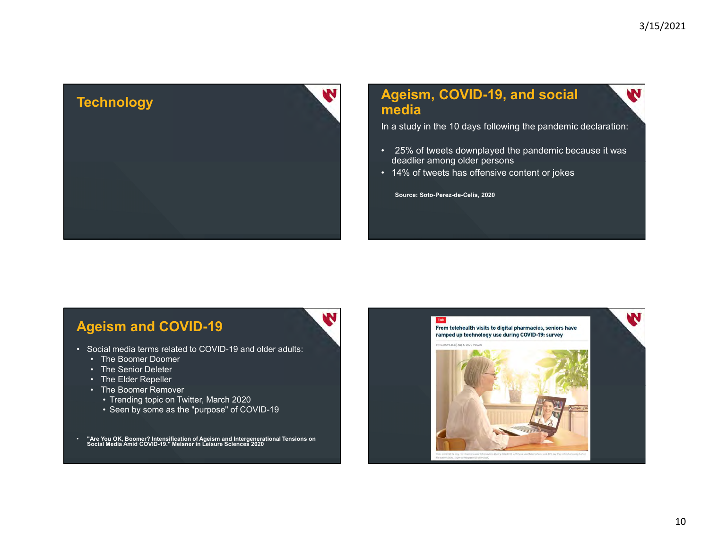

# media 9/15/2021<br> **Ageism, COVID-19, and social**<br>
In a study in the 10 days following the pandemic declaration:<br>
• 25% of tweets downplayed the pandemic because it was<br>
• 14% of tweets has offensive content or jokes<br>
• source: So <sup>9/15/2021</sup><br> **Ageism, COVID-19, and social**<br>
In a study in the 10 days following the pandemic declaration:<br>
• 25% of tweets downplayed the pandemic because it was<br>
deadlier among older persons<br>
• 14% of tweets has offensiv

In a study in the 10 days following the pandemic declaration:

- deadlier among older persons
- 

Source: Soto-Perez-de-Celis, 2020

#### Ageism and COVID-19

- -
	-
	-
	- -
		-

• "Are You OK, Boomer? Intensification of Ageism and Intergenerational Tensions on Social Media Amid COVID-19." Meisner in Leisure Sciences 2020

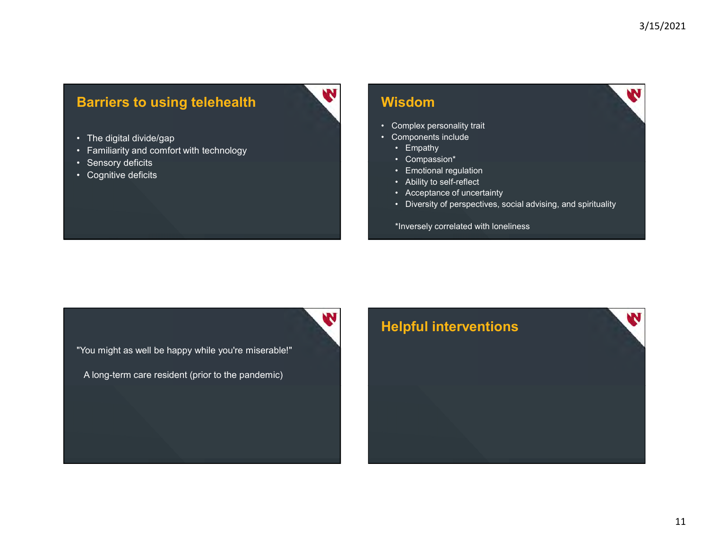## Barriers to using telehealth **Barriers to using telehealth**<br>• The digital divide/gap<br>• Familiarity and comfort with technology<br>• Sensory deficits<br>• Cognitive deficits **Barriers to using telehealth**<br>• The digital divide/gap<br>• Familiarity and comfort with technology<br>• Sensory deficits<br>• Cognitive deficits **Barriers to using telehealth**<br>• The digital divide/gap<br>• Familiarity and comfort with technology<br>• Sensory deficits<br>• Cognitive deficits **Barriers to using telehealth**<br>• The digital divide/gap<br>• Familiarity and comfort with technology<br>• Sensory deficits<br>• Cognitive deficits

- 
- 
- 
- 

#### Wisdom **Wisdom**

- <sup>3/15/2021</sup><br>

 Complex personality trait<br>
 Components include<br>
 Empathy<br>
 Compassion\*<br>
 Empathy<br>
 Compassion\*<br>
 Ability to self-reflect <sup>3/15/2021</sup><br>
• Complex personality trait<br>
• Components include<br>
• Empathy<br>
• Compassion\*<br>
• Emotional regulation<br>
• Accentance of uncertainty
- -

W

- 
- 
- 
- 
- **Solom**<br> **Solom**<br>
Complex personality trait<br>
Components include<br>
 Empathy<br>
 Compassion\*<br>
 Acceptance of uncertainty<br>
 Acceptance of uncertainty<br>
 Acceptance of uncertainty<br>
 Oiversity of perspectives, social advising 3/15/2021<br>
Solom<br>
Complex personality trait<br>
Compassion\*<br>
• Empathy<br>
• Compassion\*<br>
• Acceptance of uncertainty<br>
• Diversity of perspectives, social advising, and spirituality<br>
• Diversity of perspectives, social advising, <sup>3/15/2021</sup><br> **isdom**<br>
Complex personality trait<br>
Components include<br>
• Empathy<br>
• Compassion\*<br>
• Ability to self-reflect<br>
• Acceptance of uncertainty<br>
• Diversity of perspectives, social advising, and spirituality<br>
\*Invers <sup>3</sup>/15/2021<br> **isdom**<br>
Complex personality trait<br>
Components include<br>
• Empathy<br>
• Compassion\*<br>
• Ability to self-reflect<br>
• Acceptance of uncertainty<br>
• Diversity of perspectives, social advising, and spirituality<br>
\*Invers 3/15/2021<br>
Scheme of the Scheme of the Scheme of the Scheme of the Scheme of the Scheme of Uncertainty<br>
• Compassion\*<br>
• Compassion\*<br>
• Acceptance of uncertainty<br>
• Diversity of perspectives, social advising, and spiritual **isdom**<br>
• Dimplex personality trait<br>
• Components include<br>
• Empathy<br>
• Compassion\*<br>
• Ability to self-reflect<br>
• Acceptance of uncertainty<br>
• Diversity of perspectives, social advising, and spirituality<br>
\* Inversely corr

\*Inversely correlated with loneliness

"You might as well be happy while you're miserable!"

A long-term care resident (prior to the pandemic)

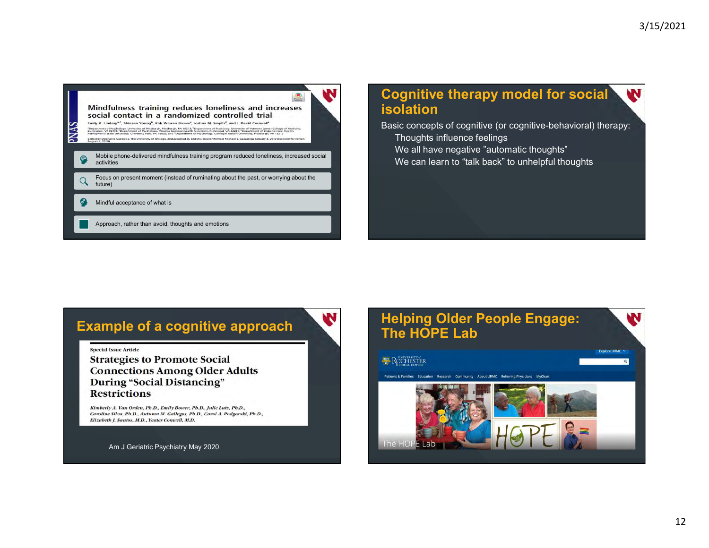

#### Cognitive therapy model for social isolation

Basic concepts of cognitive (or cognitive-behavioral) therapy:

- Thoughts influence feelings
- We all have negative "automatic thoughts"
- We can learn to "talk back" to unhelpful thoughts

#### Example of a cognitive approach

#### **Special Issue Article**

**Strategies to Promote Social Connections Among Older Adults During "Social Distancing" Restrictions** 

Kimberly A. Van Orden, Ph.D., Emily Bower, Ph.D., Julie Lutz, Ph.D., Caroline Silva, Ph.D., Autumn M. Gallegos, Ph.D., Carol A. Podgorski, Ph.D., Elizabeth J. Santos, M.D., Yeates Conwell, M.D.

Am J Geriatric Psychiatry May 2020

#### Helping Older People Engage: The HOPE Lab

#### ROCHESTER

#### Patients & Families Research Community About URMC Referring Physicians MyChar Educatio



**Explore URMC** 

 $\overline{\mathbf{a}}$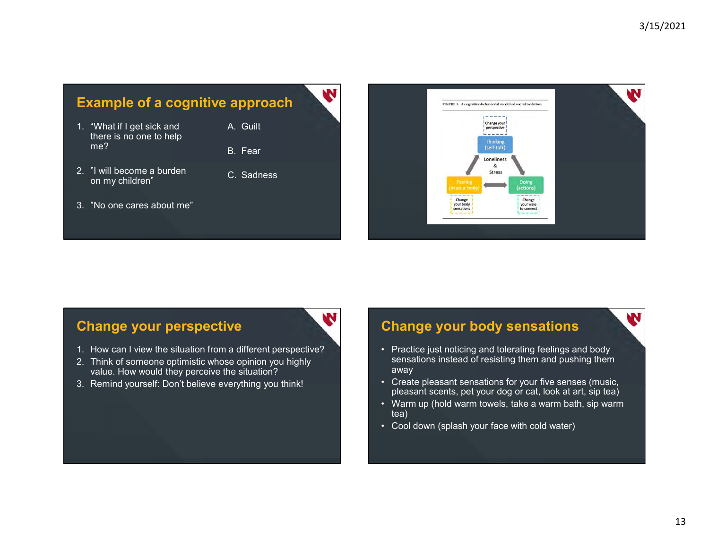- Example of a cognitive approach<br>
1. "What if I get sick and<br>
there is no one to help<br>
me?<br>
2. "I will become a burden<br>
on my children"<br>
2. Sadness there is no one to help me? B. Fear Example of a cognitive approach<br>
1. "What if I get sick and<br>
there is no one to help<br>
me?<br>
2. "I will become a burden<br>
on my children"<br>
3. "No one cares about me"<br>
3. "No one cares about me" Example of a cognitive approach<br>
1. "What if I get sick and<br>
there is no one to help<br>
me?<br>
2. "I will become a burden<br>
on my children"<br>
3. "No one cares about me"<br>
2. "I will become a burden<br>
3. "No one cares about me"
- I will become a burden in the C. Sadness<br>on my children"
- 
- 



#### Change your perspective **Change**

- 
- value. How would they perceive the situation? B. Fear<br>
2. "I will become a burden<br>
3. "No one cares about me"<br>
3. "No one cares about me"<br>
3. Think of some<br>
2. Dink of some optimistic whose opinion you highly<br>
2. Think of some<br>
one optimistic whose opinion you highly<br>
- 

#### Change your body sensations

- sensations instead of resisting them and pushing them away
- pleasant scents, pet your dog or cat, look at art, sip tea)
- tea)
-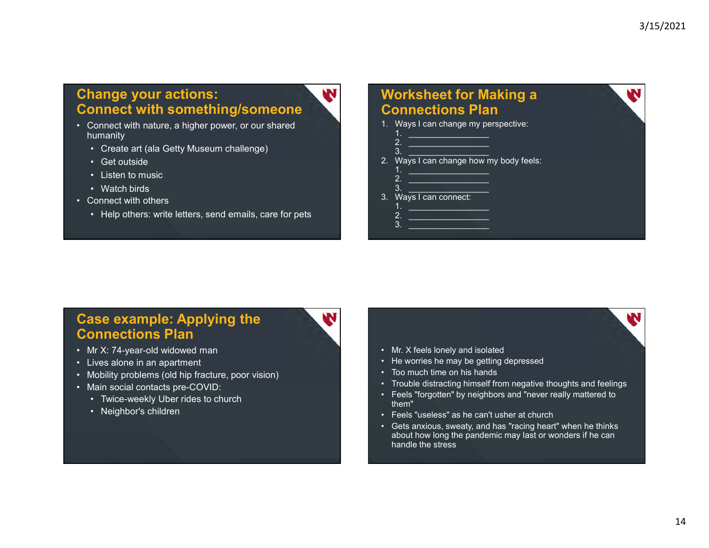### Change your actions: Connect with something/someone **Change your actions:**<br> **Connect with something/someone**<br>
• Connect with nature, a higher power, or our shared<br>
• Create art (ala Getty Museum challenge)<br>
• Get outside<br>
• Listen to music **Example your actions:**<br> **Prince art (also Getty Museum challenge)**<br>
Connect with nature, a higher power, or our shared<br> **Create art (ala Getty Museum challenge)**<br>
• Get outside<br>
• Listen to music<br>
• Watch birds<br>
Connect w **Painting of Source Schemation Schematic Schematic Schematic Schematic Condumnantly<br>
Commerce with nature, a higher power, or our shared<br>
numanity<br>
• Create art (ala Getty Museum challenge)<br>
• Get outside<br>
• Listen to mus Paint School of School School School School School School School School School School School School School School School School School School School School School School School School School School School School School S Example your actions:**<br> **Sonnect with something/someone**<br>
<br>
Connect with nature, a higher power, or our shared<br>
Connect with nature, a higher power, or our shared<br>
Connect with others<br>
Connect with others<br>
Connect with ot **Change your actions:**<br> **Connect with something/someone**<br>
• Connect with nature, a higher power, or our shared<br>
humanity<br>
• Create art (ala Getty Museum challenge)<br>
• Get outside<br>
• Listen to music<br>
• Watch birds<br>
• Connec **PERENT SCREET WATER CONFIDENT SCREET AND SCREET AND SCREET AND SCREET AND SCREET AND SCREET AND SCREET AND SCREET AND SCREET AND SCREET AND SCREET AND SCREET AND SCREET AND SCREET AND SCREET AND SCREET AND SCREET AND SCR**

- humanity
	-
	-
	-
	-
- -

#### Worksheet for Making a Connections Plan Worksheet for Making a<br>
Connections Plan<br>
1. Ways I can change my perspective:<br>  $\frac{1}{2}$ .<br>  $\frac{1}{2}$ . Ways I can change how my body feels:<br>  $\frac{1}{2}$ . 3/15/2021<br> **orksheet for Making a**<br> **pnnections Plan**<br>
Ways I can change my perspective:<br>  $\frac{1}{2}$ <br>
Ways I can change how my body feels:<br>  $\frac{1}{2}$ <br>  $\frac{1}{2}$ <br>  $\frac{1}{2}$  $\begin{array}{lll@{\hspace{0.2cm}}c@{\hspace{0.2cm}}c@{\hspace{0.2cm}}c@{\hspace{0.2cm}}c@{\hspace{0.2cm}}c@{\hspace{0.2cm}}c@{\hspace{0.2cm}}c@{\hspace{0.2cm}}c@{\hspace{0.2cm}}c@{\hspace{0.2cm}}c@{\hspace{0.2cm}}c@{\hspace{0.2cm}}c@{\hspace{0.2cm}}c@{\hspace{0.2cm}}c@{\hspace{0.2cm}}c@{\hspace{0.2cm}}c@{\hspace{0.2cm}}c@{\hspace{0.2cm}}c@{\hspace{0.2cm}}c@{\hspace$ 3/15/2021<br> **orksheet for Making a**<br>
Ways I can change my perspective:<br>
2.<br>
Ways I can change how my body feels:<br>
3.<br>
Ways I can connect:<br>
4.<br>
1. Worksheet for Making a<br>
Connections Plan<br>
1. Ways I can change my perspective:<br>  $\frac{1}{2}$ .<br>
2. Ways I can change how my body feels:<br>  $\frac{1}{2}$ .<br>  $\frac{2}{3}$ . Ways I can connect:<br>  $\frac{1}{2}$ . 3/15/2021<br>
orksheet for Making a<br>
pnnections Plan<br>
Ways I can change my perspective:<br>
2.<br>
2.<br>
Ways I can change how my body feels:<br>  $\frac{2}{\sqrt{2}}$ <br>  $\frac{2}{\sqrt{2}}$ <br>  $\frac{2}{\sqrt{2}}$ <br>  $\frac{2}{\sqrt{2}}$ <br>  $\frac{2}{\sqrt{2}}$ <br>  $\frac{2}{\sqrt{2}}$ <br>  $\frac{2$ 3/15/2021<br>
orksheet for Making a<br>
pnnections Plan<br>
Ways I can change my perspective:<br>
1.<br>
2.<br>
Ways I can change how my body feels:<br>
2.<br>
2.<br>
2.<br>
2.<br>
2.<br>
2.<br>
2.<br>
2.<br>
2. 3/15/2021<br>
orksheet for Making a<br>
Dinnections Plan<br>
Ways I can change my perspective:<br>
2.<br>
2.<br>
3.<br>
3.<br>
2.<br>
2.<br>
2.<br>
2.<br>
2.<br>
2.<br>
2. Worksheet for Making a<br>
Connections Plan<br>
1. Ways I can change my perspective:<br>  $\frac{1}{2}$ <br>  $\frac{2}{3}$ <br>  $\frac{2}{3}$ <br>  $\frac{2}{3}$ <br>  $\frac{2}{3}$ <br>  $\frac{2}{3}$ <br>  $\frac{2}{3}$ <br>  $\frac{2}{3}$ <br>  $\frac{2}{3}$ <br>  $\frac{2}{3}$ <br>  $\frac{2}{3}$ <br>  $\frac{2}{3}$ <br>  $\frac{2}{3}$ 1. \_\_\_\_\_\_\_\_\_\_\_\_\_\_\_\_\_ 2. \_\_\_\_\_\_\_\_\_\_\_\_\_\_\_\_\_ 3. \_\_\_\_\_\_\_\_\_\_\_\_\_\_\_\_\_

- 
- 
- 

## Case example: Applying the Connections Plan France and (ala Getty Museum challenge)<br>
• Get outside<br>
• Listen to music<br>
• Listen to music<br>
• Watch birds<br>
• Connect with others<br>
• Help others: write letters, send emails, care for pets<br>
• Help others: write letters, se • Create art (ala Getty Museum challenge)<br>• Get outside<br>• Usten to music<br>• Match birds<br>• Connect with others<br>• Help others: write letters, send emails, care for pets<br>• Help others: write letters, send emails, care for pets

- 
- 
- 
- -
	-

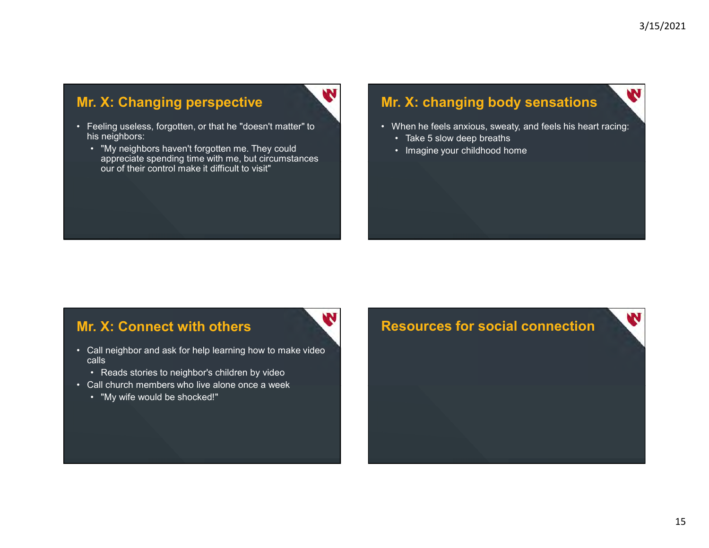#### Mr. X: Changing perspective

his neighbors:

**Mr. X: Changing perspective**<br>• Feeling useless, forgotten, or that he "doesn't matter" to<br>• his neighbors:<br>• "My neighbors haven't forgotten me. They could<br>• appreciate spending time with me, but circumstances<br>• our of th **1. X: Changing perspective Microsoften Metally and Set algorithm of the set of the set of the set of the set of the set of the set of the set of the set of the set of the set of the set of the set of the set of the set of** "My neighbors haven't forgotten me. They could <br>appreciate spending time with me, but circumstances our of their control make it difficult to visit" • Feeling useless, forgotten, or that he "doesn't matter" to<br>
his neighbors:<br>
• "My neighbors haven't forgotten me. They could<br>
• appreciate spending time with me, but circumstances<br>
• our of their control make it difficul • Reads stories to neighbor's children by the stories of their control make it difficult to visit"<br>• Reads stories to neighbor's children by video<br>• Reads stories to neighbor's children by video<br>• Reads stories to neighbor

## Mr. X: changing body sensations <sup>3/15/2021</sup><br>• When he feels anxious, sweaty, and feels his heart racing:<br>• Take 5 slow deep breaths<br>• Imagine your childhood home 3/15/2021<br> **Example 5 Solution System State 5 slow deep breaths**<br>
• Take 5 slow deep breaths<br>
• Imagine your childhood home <sup>3/15/2021</sup><br>• **X: changing body sensations**<br>• Take 5 slow deep breaths<br>• Imagine your childhood home

- -
	-

#### Mr. X: Connect with others

- calls • our of their control make it difficult to visit"<br>• "My Wiff would be shocked!"<br>Call neighbor and ask for help learning how to make video<br>• Reads stories to neighbor's children by video<br>• "My wife would be shocked!"<br>• "My
	-
- 
- 



# • Call neighbor into which we with me, but dircumstances<br>
our of their control make it difficult to visit<br>
• Call neighbor and ask for help learning how to make video<br>
• Call church members who live alone once a week<br>
• T W Resources for social connection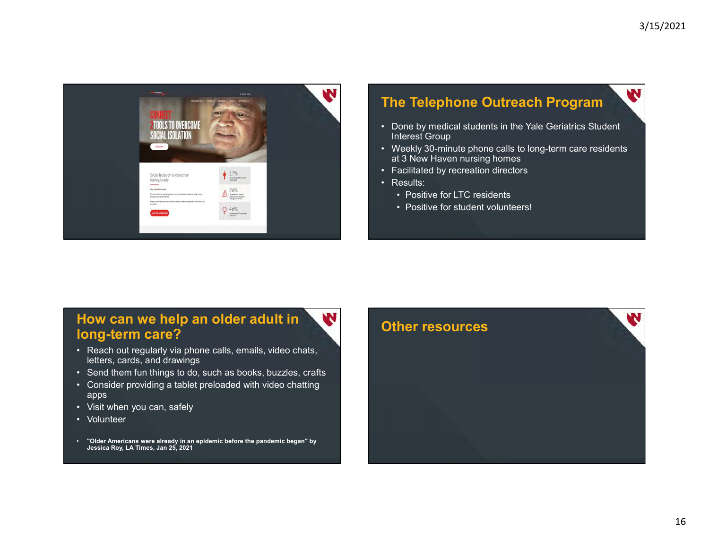

#### The Telephone Outreach Program

- Interest Group
- <sup>3/15/2021</sup><br>• Done by medical students in the Yale Geriatrics Student<br>• Weekly 30-minute phone calls to long-term care residents<br>• Resultated by recreation directors<br>• Resultated by recreation directors <sup>3/15/2021</sup><br>
• Done by medical students in the Yale Geriatrics Student<br>
• Interest Group<br>
• Weekly 30-minute phone calls to long-term care residents<br>
• Results:<br>
• Results:<br>
• Positive for LTC residents<br>
• Positive for a t at 3 New Haven nursing homes 3/15/2021<br>
• Done by medical students in the Yale Geriatrics Student<br>
• Done by medical students in the Yale Geriatrics Student<br>
• Weekly 30-minute phone calls to long-term care residents<br>
• at 3 New Haven nursing homes<br>
• 3/15/2021<br>
The Telephone Outreach Program<br>
• Done by medical students in the Yale Geriatrics Student<br>
Interest Group<br>
• Weekly 30-minute phone calls to long-term care residents<br>
• Facilitited by recreation directors<br>
• Res <sup>3/15/2021</sup><br>• **Telephone Outreach Program**<br>• None by medical students in the Yale Geriatrics Student<br>terest Group<br>• Neekly 30-minute phone calls to long-term care residents<br>• A New Haven nursing homes<br>• Positive for LTC re <sup>3/15/2021</sup><br>• **Telephone Outreach Program**<br>• None by medical students in the Yale Geriatrics Student<br>therest Group<br>• Weekly 30-minute phone calls to long-term care residents<br>• 3 New Haven nursing homes<br>• Positive for LTC r
- 
- -
	-

#### How can we help an older adult in long-term care?

- letters, cards, and drawings
- 
- apps
- 
- 
- Jessica Roy, LA Times, Jan 25, 2021

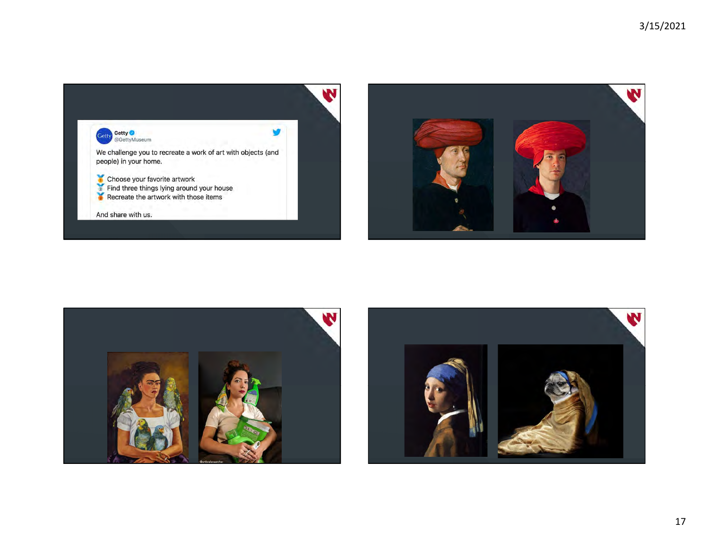



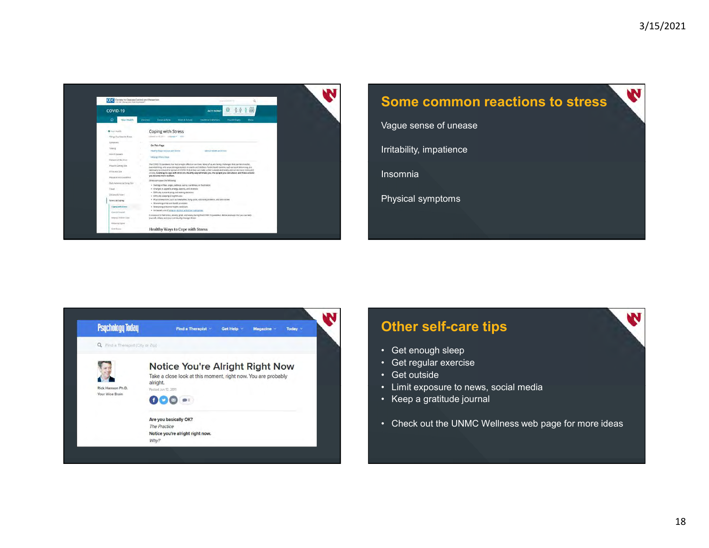



Vague sense of unease

Irritability, impatience

Insomnia

Physical symptoms



# Other self-care tips **AN** Vague sense of unease<br>
Irritability, impatience<br>
Insomnia<br>
Physical symptoms<br>
Physical symptoms<br>
Cet enough sleep<br>
Cet enough sleep<br>
Cet cutside<br>
Cet cutside<br>
Cet cutside<br>
Cet cutside<br>
Cet cutside<br>
Cet cutside<br>
Cet cutside Fritability, impatience<br>
Insomnia<br>
Physical symptoms<br>
Physical symptoms<br>
Charles Care Lips<br>
Cet regular exercise<br>
Cet regular exercise<br>
Cet outside<br>
Charles Care a graftitude journal<br>
Charles Care a graftitude journal<br>
Cha

- 
- 
- 
- 
- 
- Irritability, impatience<br>
Insomnia<br>
Physical symptoms<br>
 Get enough sleep<br>
 Get regular exercise<br>
 Cet regular exercise<br>
 Cet outside<br>
 Check out the UNMC Wellness web page for more ideas<br>
 Check out the UNMC Wellness Finsomnia<br>
Physical symptoms<br>
• Cet enough sleep<br>
• Get enough sleep<br>
• Get regular exercise<br>
• Get outside<br>
• Limit exposure to news, social media<br>
• Keep a gratitude journal<br>
• Check out the UNMC Wellness web page for mo Francia<br>
• Physical symptoms<br>
• Get renough sleep<br>
• Get regular exercise<br>
• Cet custicle<br>
• Cet custicle<br>
• Check out the UNMC Wellness web page for more ideas<br>
• Check out the UNMC Wellness web page for more ideas Finder Schause Symptoms<br>• Cet enough sleep<br>• Cet regular exercise<br>• Cet regular exercise<br>• Cet outside<br>• Keep a gratitude journal<br>• Check out the UNMC Wellness web page for more ideas